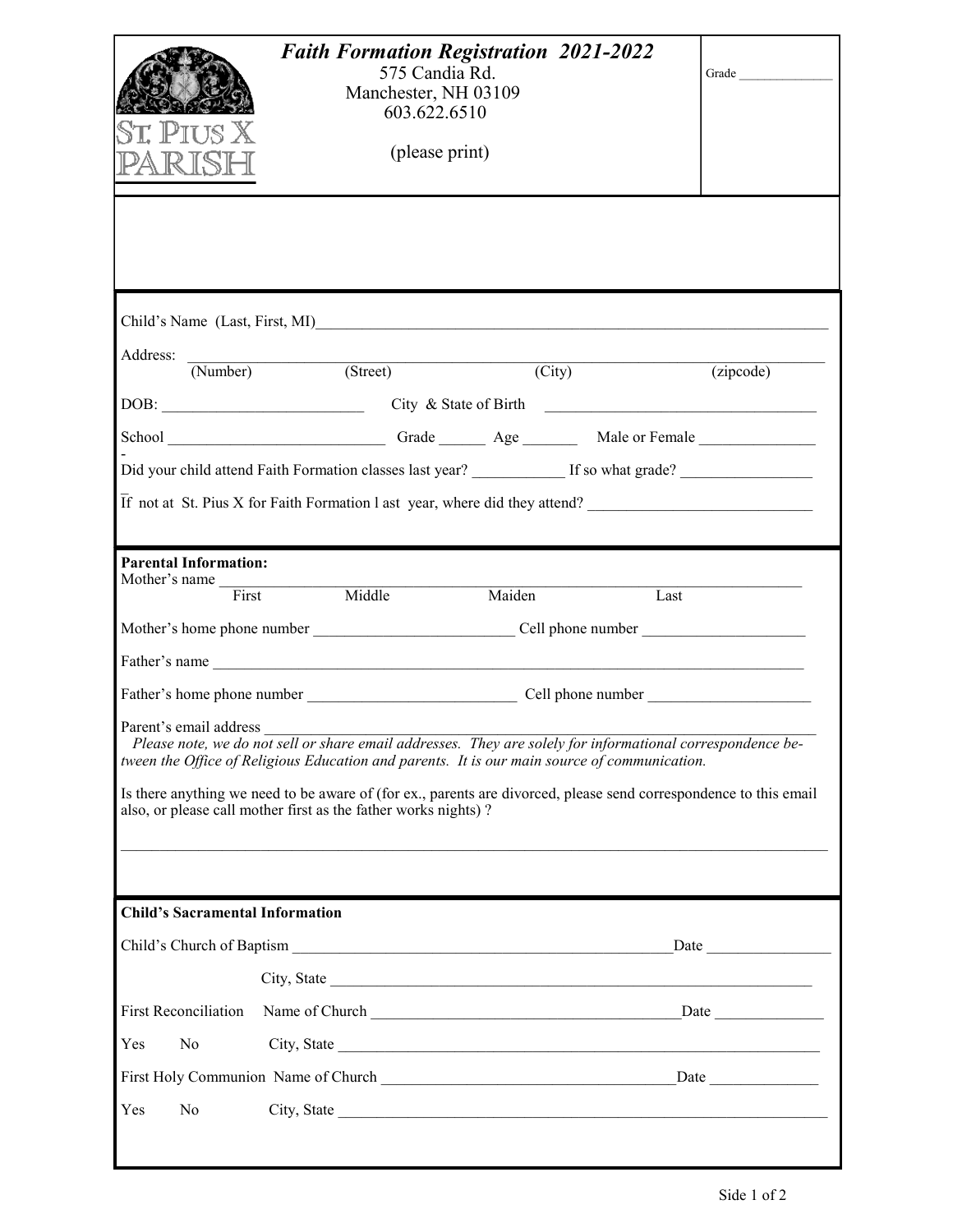| Child's Name (Last, First, MI)<br>Address:<br>(Number) (Street)<br>$\overline{(City)}$<br>$\overline{(zipcode)}$<br>$\overline{If}$ not at St. Pius X for Faith Formation 1 ast year, where did they attend?<br><b>Parental Information:</b><br>Mother's name First Middle<br>Maiden<br>Last<br>Parent's email address<br>Please note, we do not sell or share email addresses. They are solely for informational correspondence be-<br>tween the Office of Religious Education and parents. It is our main source of communication.<br>Is there anything we need to be aware of (for ex., parents are divorced, please send correspondence to this email<br>also, or please call mother first as the father works nights)?<br>a se de la construcción de la construcción de la construcción de la construcción de la construcción de la cons<br><b>Child's Sacramental Information</b><br><b>First Reconciliation</b><br>Yes<br>N <sub>0</sub><br>Yes<br>N <sub>0</sub><br>City, State |  | <b>Faith Formation Registration 2021-2022</b><br>575 Candia Rd.<br>Manchester, NH 03109<br>603.622.6510<br>(please print) | Grade |
|-----------------------------------------------------------------------------------------------------------------------------------------------------------------------------------------------------------------------------------------------------------------------------------------------------------------------------------------------------------------------------------------------------------------------------------------------------------------------------------------------------------------------------------------------------------------------------------------------------------------------------------------------------------------------------------------------------------------------------------------------------------------------------------------------------------------------------------------------------------------------------------------------------------------------------------------------------------------------------------------|--|---------------------------------------------------------------------------------------------------------------------------|-------|
|                                                                                                                                                                                                                                                                                                                                                                                                                                                                                                                                                                                                                                                                                                                                                                                                                                                                                                                                                                                         |  |                                                                                                                           |       |
|                                                                                                                                                                                                                                                                                                                                                                                                                                                                                                                                                                                                                                                                                                                                                                                                                                                                                                                                                                                         |  |                                                                                                                           |       |
|                                                                                                                                                                                                                                                                                                                                                                                                                                                                                                                                                                                                                                                                                                                                                                                                                                                                                                                                                                                         |  |                                                                                                                           |       |
|                                                                                                                                                                                                                                                                                                                                                                                                                                                                                                                                                                                                                                                                                                                                                                                                                                                                                                                                                                                         |  |                                                                                                                           |       |
|                                                                                                                                                                                                                                                                                                                                                                                                                                                                                                                                                                                                                                                                                                                                                                                                                                                                                                                                                                                         |  |                                                                                                                           |       |
|                                                                                                                                                                                                                                                                                                                                                                                                                                                                                                                                                                                                                                                                                                                                                                                                                                                                                                                                                                                         |  |                                                                                                                           |       |
|                                                                                                                                                                                                                                                                                                                                                                                                                                                                                                                                                                                                                                                                                                                                                                                                                                                                                                                                                                                         |  |                                                                                                                           |       |
|                                                                                                                                                                                                                                                                                                                                                                                                                                                                                                                                                                                                                                                                                                                                                                                                                                                                                                                                                                                         |  |                                                                                                                           |       |
|                                                                                                                                                                                                                                                                                                                                                                                                                                                                                                                                                                                                                                                                                                                                                                                                                                                                                                                                                                                         |  |                                                                                                                           |       |
|                                                                                                                                                                                                                                                                                                                                                                                                                                                                                                                                                                                                                                                                                                                                                                                                                                                                                                                                                                                         |  |                                                                                                                           |       |
|                                                                                                                                                                                                                                                                                                                                                                                                                                                                                                                                                                                                                                                                                                                                                                                                                                                                                                                                                                                         |  |                                                                                                                           |       |
|                                                                                                                                                                                                                                                                                                                                                                                                                                                                                                                                                                                                                                                                                                                                                                                                                                                                                                                                                                                         |  |                                                                                                                           |       |
|                                                                                                                                                                                                                                                                                                                                                                                                                                                                                                                                                                                                                                                                                                                                                                                                                                                                                                                                                                                         |  |                                                                                                                           |       |
|                                                                                                                                                                                                                                                                                                                                                                                                                                                                                                                                                                                                                                                                                                                                                                                                                                                                                                                                                                                         |  |                                                                                                                           |       |
|                                                                                                                                                                                                                                                                                                                                                                                                                                                                                                                                                                                                                                                                                                                                                                                                                                                                                                                                                                                         |  |                                                                                                                           |       |
|                                                                                                                                                                                                                                                                                                                                                                                                                                                                                                                                                                                                                                                                                                                                                                                                                                                                                                                                                                                         |  |                                                                                                                           |       |
|                                                                                                                                                                                                                                                                                                                                                                                                                                                                                                                                                                                                                                                                                                                                                                                                                                                                                                                                                                                         |  |                                                                                                                           |       |
|                                                                                                                                                                                                                                                                                                                                                                                                                                                                                                                                                                                                                                                                                                                                                                                                                                                                                                                                                                                         |  |                                                                                                                           |       |
|                                                                                                                                                                                                                                                                                                                                                                                                                                                                                                                                                                                                                                                                                                                                                                                                                                                                                                                                                                                         |  |                                                                                                                           |       |
|                                                                                                                                                                                                                                                                                                                                                                                                                                                                                                                                                                                                                                                                                                                                                                                                                                                                                                                                                                                         |  |                                                                                                                           |       |
|                                                                                                                                                                                                                                                                                                                                                                                                                                                                                                                                                                                                                                                                                                                                                                                                                                                                                                                                                                                         |  |                                                                                                                           |       |